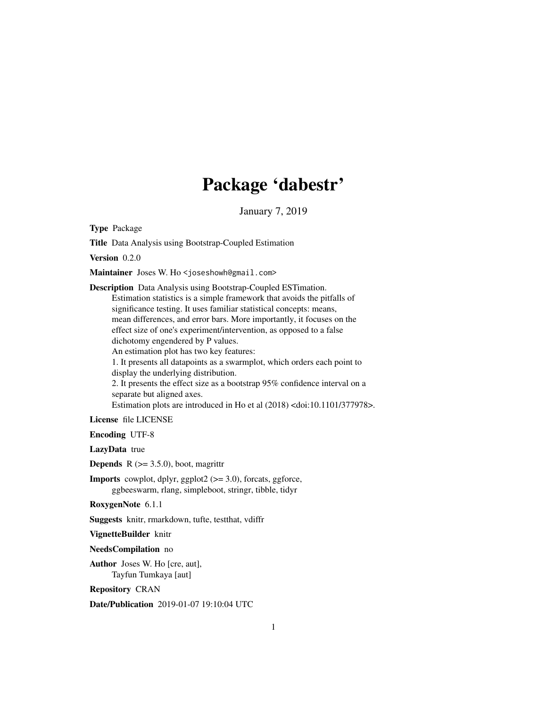# Package 'dabestr'

January 7, 2019

<span id="page-0-0"></span>Type Package

Title Data Analysis using Bootstrap-Coupled Estimation

Version 0.2.0

Maintainer Joses W. Ho <joseshowh@gmail.com>

Description Data Analysis using Bootstrap-Coupled ESTimation. Estimation statistics is a simple framework that avoids the pitfalls of significance testing. It uses familiar statistical concepts: means, mean differences, and error bars. More importantly, it focuses on the effect size of one's experiment/intervention, as opposed to a false dichotomy engendered by P values. An estimation plot has two key features: 1. It presents all datapoints as a swarmplot, which orders each point to display the underlying distribution. 2. It presents the effect size as a bootstrap 95% confidence interval on a separate but aligned axes. Estimation plots are introduced in Ho et al (2018) <doi:10.1101/377978>.

License file LICENSE

Encoding UTF-8

LazyData true

**Depends** R  $(>= 3.5.0)$ , boot, magrittr

**Imports** cowplot, dplyr, ggplot2  $(>= 3.0)$ , forcats, ggforce, ggbeeswarm, rlang, simpleboot, stringr, tibble, tidyr

RoxygenNote 6.1.1

Suggests knitr, rmarkdown, tufte, testthat, vdiffr

VignetteBuilder knitr

NeedsCompilation no

Author Joses W. Ho [cre, aut], Tayfun Tumkaya [aut]

Repository CRAN

Date/Publication 2019-01-07 19:10:04 UTC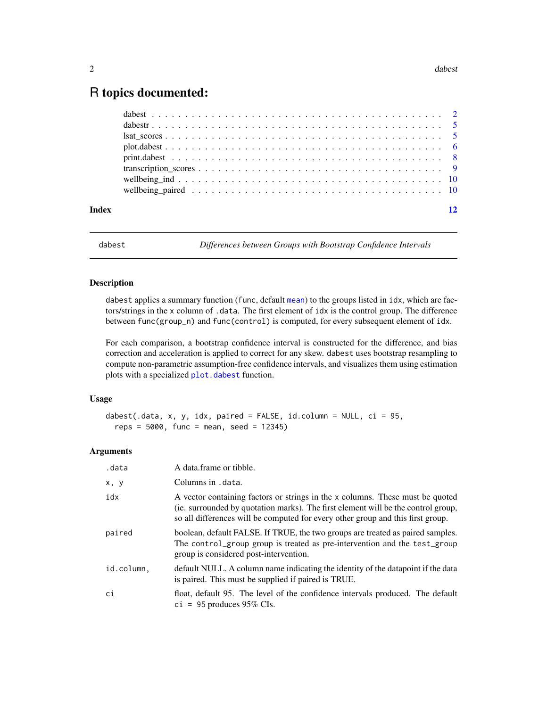## <span id="page-1-0"></span>R topics documented:

| Index | 12 |
|-------|----|

<span id="page-1-1"></span>

dabest *Differences between Groups with Bootstrap Confidence Intervals*

#### Description

dabest applies a summary function (func, default [mean](#page-0-0)) to the groups listed in idx, which are factors/strings in the x column of .data. The first element of idx is the control group. The difference between func(group\_n) and func(control) is computed, for every subsequent element of idx.

For each comparison, a bootstrap confidence interval is constructed for the difference, and bias correction and acceleration is applied to correct for any skew. dabest uses bootstrap resampling to compute non-parametric assumption-free confidence intervals, and visualizes them using estimation plots with a specialized [plot.dabest](#page-5-1) function.

#### Usage

```
dabest(.data, x, y, idx, paired = FALSE, id.column = NULL, ci = 95,
  reps = 5000, func = mean, seed = 12345)
```
#### Arguments

| .data      | A data frame or tibble.                                                                                                                                                                                                                               |
|------------|-------------------------------------------------------------------------------------------------------------------------------------------------------------------------------------------------------------------------------------------------------|
| x, y       | Columns in .data.                                                                                                                                                                                                                                     |
| idx        | A vector containing factors or strings in the x columns. These must be quoted<br>(ie. surrounded by quotation marks). The first element will be the control group,<br>so all differences will be computed for every other group and this first group. |
| paired     | boolean, default FALSE. If TRUE, the two groups are treated as paired samples.<br>The control_group group is treated as pre-intervention and the test_group<br>group is considered post-intervention.                                                 |
| id.column. | default NULL. A column name indicating the identity of the datapoint if the data<br>is paired. This must be supplied if paired is TRUE.                                                                                                               |
| ci         | float, default 95. The level of the confidence intervals produced. The default<br>$ci = 95$ produces 95% CIs.                                                                                                                                         |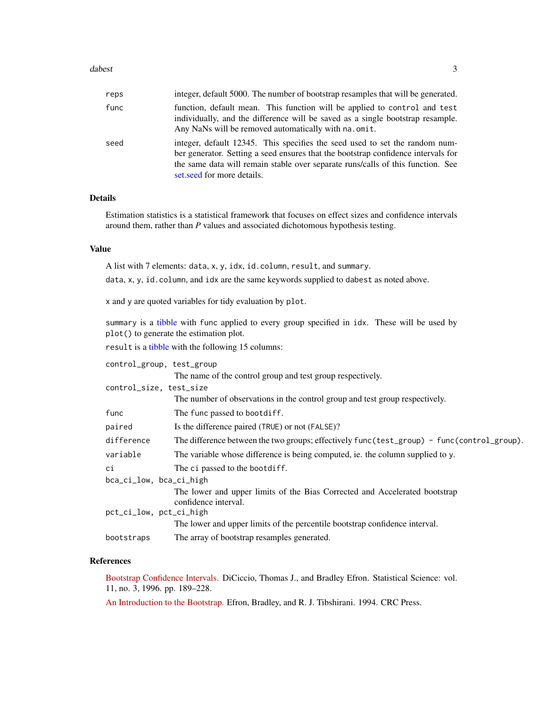#### <span id="page-2-0"></span>dabest 3 3

| reps | integer, default 5000. The number of bootstrap resamples that will be generated.                                                                                                                                                                                                  |
|------|-----------------------------------------------------------------------------------------------------------------------------------------------------------------------------------------------------------------------------------------------------------------------------------|
| func | function, default mean. This function will be applied to control and test<br>individually, and the difference will be saved as a single bootstrap resample.<br>Any NaNs will be removed automatically with na. omit.                                                              |
| seed | integer, default 12345. This specifies the seed used to set the random num-<br>ber generator. Setting a seed ensures that the bootstrap confidence intervals for<br>the same data will remain stable over separate runs/calls of this function. See<br>set.seed for more details. |

#### Details

Estimation statistics is a statistical framework that focuses on effect sizes and confidence intervals around them, rather than *P* values and associated dichotomous hypothesis testing.

#### Value

A list with 7 elements: data, x, y, idx, id.column, result, and summary.

data, x, y, id.column, and idx are the same keywords supplied to dabest as noted above.

x and y are quoted variables for tidy evaluation by plot.

summary is a [tibble](#page-0-0) with func applied to every group specified in idx. These will be used by plot() to generate the estimation plot.

result is a [tibble](#page-0-0) with the following 15 columns:

| control_group, test_group                                                                          |  |  |
|----------------------------------------------------------------------------------------------------|--|--|
| The name of the control group and test group respectively.                                         |  |  |
| control_size, test_size                                                                            |  |  |
| The number of observations in the control group and test group respectively.                       |  |  |
| The func passed to bootdiff.                                                                       |  |  |
| Is the difference paired (TRUE) or not (FALSE)?                                                    |  |  |
| The difference between the two groups; effectively func(test_group) - func(control_group).         |  |  |
| The variable whose difference is being computed, ie. the column supplied to y.                     |  |  |
| The ci passed to the bootdiff.                                                                     |  |  |
| bca_ci_low, bca_ci_high                                                                            |  |  |
| The lower and upper limits of the Bias Corrected and Accelerated bootstrap<br>confidence interval. |  |  |
| pct_ci_low, pct_ci_high                                                                            |  |  |
| The lower and upper limits of the percentile bootstrap confidence interval.                        |  |  |
| The array of bootstrap resamples generated.                                                        |  |  |
|                                                                                                    |  |  |

#### References

[Bootstrap Confidence Intervals.](https://projecteuclid.org/euclid.ss/1032280214) DiCiccio, Thomas J., and Bradley Efron. Statistical Science: vol. 11, no. 3, 1996. pp. 189–228.

[An Introduction to the Bootstrap.](https://www.crcpress.com/An-Introduction-to-the-Bootstrap/Efron-Tibshirani/p/book/9780412042317/) Efron, Bradley, and R. J. Tibshirani. 1994. CRC Press.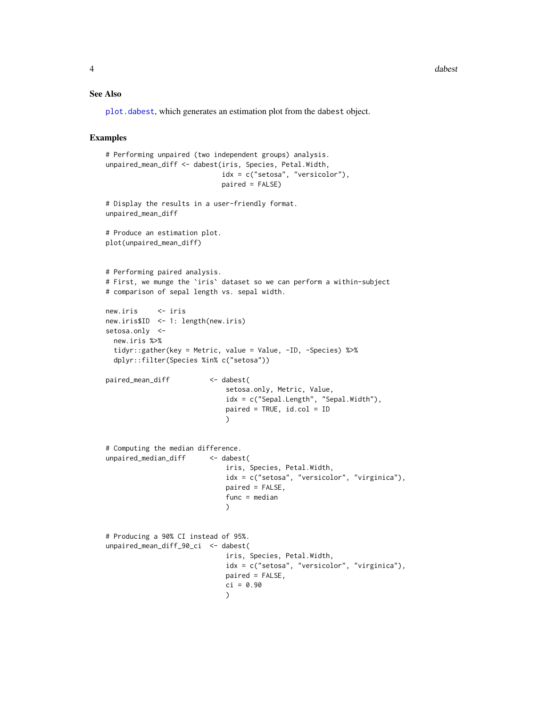#### See Also

[plot.dabest](#page-5-1), which generates an estimation plot from the dabest object.

#### Examples

```
# Performing unpaired (two independent groups) analysis.
unpaired_mean_diff <- dabest(iris, Species, Petal.Width,
                            idx = c("setosa", "versicolor"),
                            paired = FALSE)
# Display the results in a user-friendly format.
unpaired_mean_diff
# Produce an estimation plot.
plot(unpaired_mean_diff)
# Performing paired analysis.
# First, we munge the `iris` dataset so we can perform a within-subject
# comparison of sepal length vs. sepal width.
new.iris <- iris
new.iris$ID <- 1: length(new.iris)
setosa.only <-
 new.iris %>%
 tidyr::gather(key = Metric, value = Value, -ID, -Species) %>%
 dplyr::filter(Species %in% c("setosa"))
paired_mean_diff <- dabest(
                             setosa.only, Metric, Value,
                             idx = c("Sepal.Length", "Sepal.Width"),
                             paired = TRUE, id.col = ID
                             )
# Computing the median difference.
unpaired_median_diff <- dabest(
                             iris, Species, Petal.Width,
                             idx = c("setosa", "versicolor", "virginica"),
                             paired = FALSE,
                             func = median
                             )
# Producing a 90% CI instead of 95%.
unpaired_mean_diff_90_ci <- dabest(
                             iris, Species, Petal.Width,
                             idx = c("setosa", "versicolor", "virginica"),
                             paired = FALSE,
                             ci = 0.90)
```
<span id="page-3-0"></span>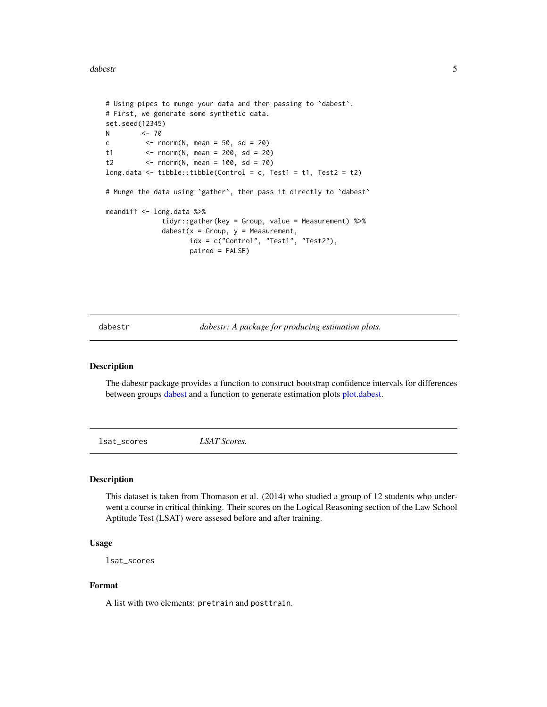#### <span id="page-4-0"></span>dabestr 5 and 5 and 5 and 5 and 5 and 5 and 5 and 5 and 5 and 5 and 5 and 5 and 5 and 5 and 5 and 5 and 5 and 5 and 5 and 5 and 5 and 5 and 5 and 5 and 5 and 5 and 5 and 5 and 5 and 5 and 5 and 5 and 5 and 5 and 5 and 5 an

```
# Using pipes to munge your data and then passing to `dabest`.
# First, we generate some synthetic data.
set.seed(12345)
N <- 70
c \le - rnorm(N, mean = 50, sd = 20)
t1 <- r = r \cdot (N, \text{ mean } = 200, \text{ sd } = 20)t2 <- rnorm(N, mean = 100, sd = 70)
long.data <- tibble::tibble(Control = c, Test1 = t1, Test2 = t2)
# Munge the data using `gather`, then pass it directly to `dabest`
meandiff <- long.data %>%
              tidyr::gather(key = Group, value = Measurement) %>%
              dabest(x = Group, y = Measurement,
                     idx = c("Control", "Test1", "Test2"),
                     paired = FALSE)
```
dabestr *dabestr: A package for producing estimation plots.*

#### Description

The dabestr package provides a function to construct bootstrap confidence intervals for differences between groups [dabest](#page-1-1) and a function to generate estimation plots [plot.dabest.](#page-5-1)

lsat\_scores *LSAT Scores.*

#### Description

This dataset is taken from Thomason et al. (2014) who studied a group of 12 students who underwent a course in critical thinking. Their scores on the Logical Reasoning section of the Law School Aptitude Test (LSAT) were assesed before and after training.

#### Usage

lsat\_scores

#### Format

A list with two elements: pretrain and posttrain.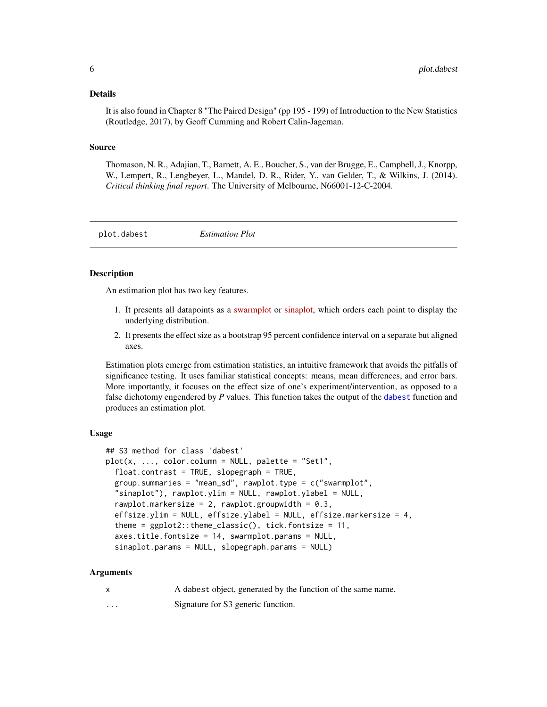#### <span id="page-5-0"></span>Details

It is also found in Chapter 8 "The Paired Design" (pp 195 - 199) of Introduction to the New Statistics (Routledge, 2017), by Geoff Cumming and Robert Calin-Jageman.

#### Source

Thomason, N. R., Adajian, T., Barnett, A. E., Boucher, S., van der Brugge, E., Campbell, J., Knorpp, W., Lempert, R., Lengbeyer, L., Mandel, D. R., Rider, Y., van Gelder, T., & Wilkins, J. (2014). *Critical thinking final report*. The University of Melbourne, N66001-12-C-2004.

<span id="page-5-1"></span>plot.dabest *Estimation Plot*

#### Description

An estimation plot has two key features.

- 1. It presents all datapoints as a [swarmplot](https://github.com/eclarke/ggbeeswarm#introduction) or [sinaplot,](https://CRAN.R-project.org/package=sinaplot) which orders each point to display the underlying distribution.
- 2. It presents the effect size as a bootstrap 95 percent confidence interval on a separate but aligned axes.

Estimation plots emerge from estimation statistics, an intuitive framework that avoids the pitfalls of significance testing. It uses familiar statistical concepts: means, mean differences, and error bars. More importantly, it focuses on the effect size of one's experiment/intervention, as opposed to a false dichotomy engendered by *P* values. This function takes the output of the [dabest](#page-1-1) function and produces an estimation plot.

#### Usage

```
## S3 method for class 'dabest'
plot(x, ..., color.colum = NULL, platete = "Set1",float.contrast = TRUE, slopegraph = TRUE,
  group.summaries = "mean_sd", rawplot.type = c("swarmplot",
  "sinaplot"), rawplot.ylim = NULL, rawplot.ylabel = NULL,
  rawplot.markersize = 2, rawplot.groupwidth = 0.3,
  effsize.ylim = NULL, effsize.ylabel = NULL, effsize.markersize = 4,
  theme = ggplot2::theme_classic(), tick.fontsize = 11,axes.title.fontsize = 14, swarmplot.params = NULL,
  sinaplot.params = NULL, slopegraph.params = NULL)
```
#### Arguments

x A dabest object, generated by the function of the same name. ... Signature for S3 generic function.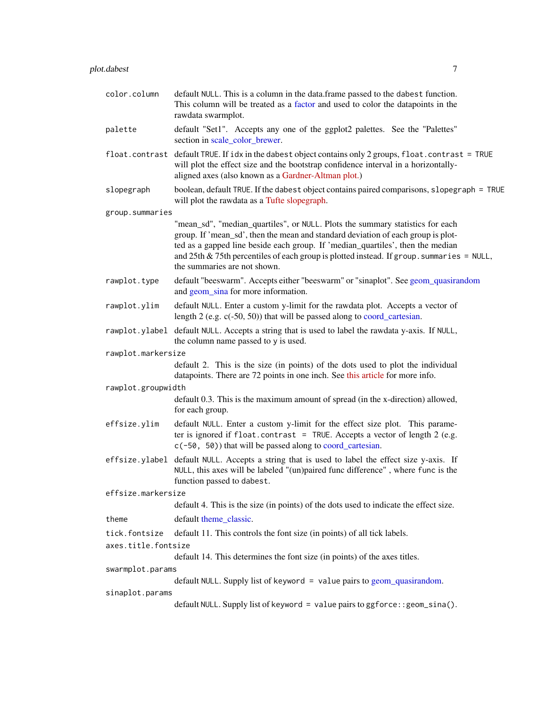<span id="page-6-0"></span>

| color.column        | default NULL. This is a column in the data.frame passed to the dabest function.<br>This column will be treated as a factor and used to color the datapoints in the<br>rawdata swarmplot.                                                                                                                                                                                               |  |  |  |
|---------------------|----------------------------------------------------------------------------------------------------------------------------------------------------------------------------------------------------------------------------------------------------------------------------------------------------------------------------------------------------------------------------------------|--|--|--|
| palette             | default "Set1". Accepts any one of the ggplot2 palettes. See the "Palettes"<br>section in scale_color_brewer.                                                                                                                                                                                                                                                                          |  |  |  |
|                     | float.contrast default TRUE. If idx in the dabest object contains only 2 groups, float.contrast = TRUE<br>will plot the effect size and the bootstrap confidence interval in a horizontally-<br>aligned axes (also known as a Gardner-Altman plot.)                                                                                                                                    |  |  |  |
| slopegraph          | boolean, default TRUE. If the dabest object contains paired comparisons, slopegraph = TRUE<br>will plot the rawdata as a Tufte slopegraph.                                                                                                                                                                                                                                             |  |  |  |
| group.summaries     |                                                                                                                                                                                                                                                                                                                                                                                        |  |  |  |
|                     | "mean_sd", "median_quartiles", or NULL. Plots the summary statistics for each<br>group. If 'mean_sd', then the mean and standard deviation of each group is plot-<br>ted as a gapped line beside each group. If 'median_quartiles', then the median<br>and $25$ th & $75$ th percentiles of each group is plotted instead. If group. summaries = NULL,<br>the summaries are not shown. |  |  |  |
| rawplot.type        | default "beeswarm". Accepts either "beeswarm" or "sinaplot". See geom_quasirandom<br>and geom_sina for more information.                                                                                                                                                                                                                                                               |  |  |  |
| rawplot.ylim        | default NULL. Enter a custom y-limit for the rawdata plot. Accepts a vector of<br>length $2$ (e.g. $c(-50, 50)$ ) that will be passed along to coord_cartesian.                                                                                                                                                                                                                        |  |  |  |
| rawplot.ylabel      | default NULL. Accepts a string that is used to label the rawdata y-axis. If NULL,<br>the column name passed to y is used.                                                                                                                                                                                                                                                              |  |  |  |
| rawplot.markersize  |                                                                                                                                                                                                                                                                                                                                                                                        |  |  |  |
|                     | default 2. This is the size (in points) of the dots used to plot the individual<br>datapoints. There are 72 points in one inch. See this article for more info.                                                                                                                                                                                                                        |  |  |  |
| rawplot.groupwidth  |                                                                                                                                                                                                                                                                                                                                                                                        |  |  |  |
|                     | default 0.3. This is the maximum amount of spread (in the x-direction) allowed,<br>for each group.                                                                                                                                                                                                                                                                                     |  |  |  |
| effsize.ylim        | default NULL. Enter a custom y-limit for the effect size plot. This parame-<br>ter is ignored if float.contrast = TRUE. Accepts a vector of length 2 (e.g.<br>c(-50, 50)) that will be passed along to coord_cartesian.                                                                                                                                                                |  |  |  |
| effsize.ylabel      | default NULL. Accepts a string that is used to label the effect size y-axis. If<br>NULL, this axes will be labeled "(un)paired func difference", where func is the<br>function passed to dabest.                                                                                                                                                                                       |  |  |  |
| effsize.markersize  |                                                                                                                                                                                                                                                                                                                                                                                        |  |  |  |
|                     | default 4. This is the size (in points) of the dots used to indicate the effect size.                                                                                                                                                                                                                                                                                                  |  |  |  |
| theme               | default theme_classic.                                                                                                                                                                                                                                                                                                                                                                 |  |  |  |
| tick.fontsize       | default 11. This controls the font size (in points) of all tick labels.                                                                                                                                                                                                                                                                                                                |  |  |  |
| axes.title.fontsize |                                                                                                                                                                                                                                                                                                                                                                                        |  |  |  |
|                     | default 14. This determines the font size (in points) of the axes titles.                                                                                                                                                                                                                                                                                                              |  |  |  |
| swarmplot.params    |                                                                                                                                                                                                                                                                                                                                                                                        |  |  |  |
|                     | $default NULL$ . Supply list of keyword = value pairs to geom_quasirandom.                                                                                                                                                                                                                                                                                                             |  |  |  |
| sinaplot.params     | default NULL. Supply list of keyword = value pairs to ggforce:: geom_sina().                                                                                                                                                                                                                                                                                                           |  |  |  |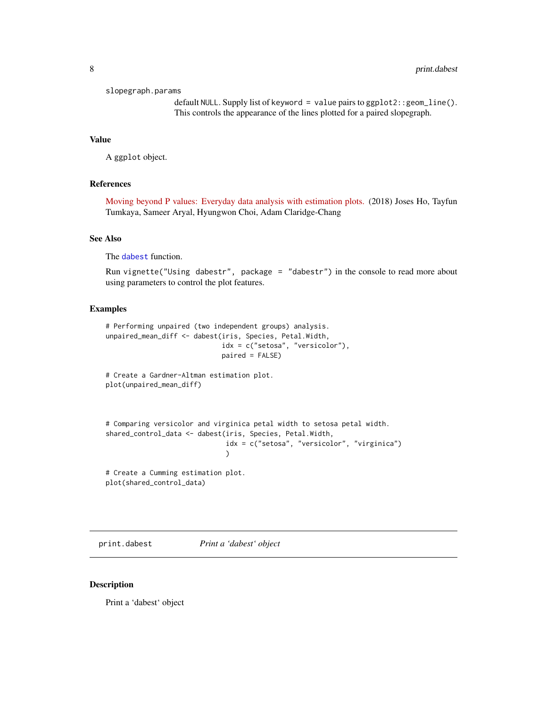<span id="page-7-0"></span>slopegraph.params

default NULL. Supply list of keyword = value pairs to ggplot2::geom\_line(). This controls the appearance of the lines plotted for a paired slopegraph.

#### Value

A ggplot object.

#### References

[Moving beyond P values: Everyday data analysis with estimation plots.](https://doi.org/10.1101/377978) (2018) Joses Ho, Tayfun Tumkaya, Sameer Aryal, Hyungwon Choi, Adam Claridge-Chang

#### See Also

The [dabest](#page-1-1) function.

Run vignette("Using dabestr", package = "dabestr") in the console to read more about using parameters to control the plot features.

#### Examples

```
# Performing unpaired (two independent groups) analysis.
unpaired_mean_diff <- dabest(iris, Species, Petal.Width,
                             idx = c("setosa", "versicolor"),
                             paired = FALSE)
# Create a Gardner-Altman estimation plot.
plot(unpaired_mean_diff)
```

```
# Comparing versicolor and virginica petal width to setosa petal width.
shared_control_data <- dabest(iris, Species, Petal.Width,
                              idx = c("setosa", "versicolor", "virginica")
                              )
```
# Create a Cumming estimation plot. plot(shared\_control\_data)

print.dabest *Print a 'dabest' object*

#### Description

Print a 'dabest' object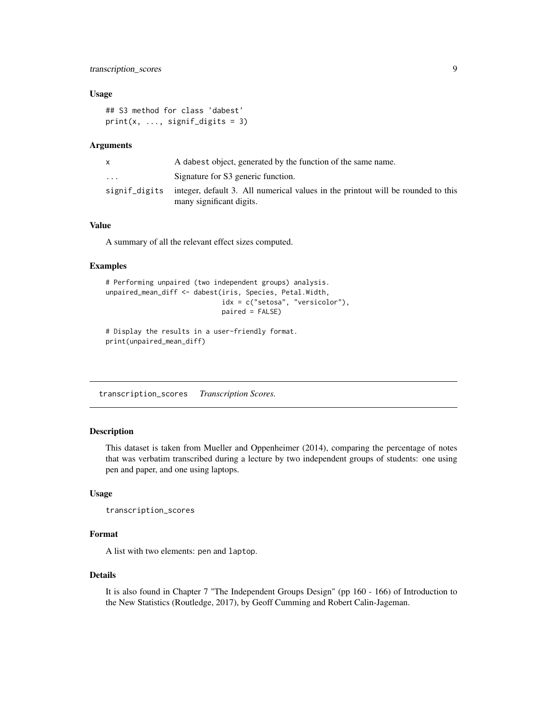#### <span id="page-8-0"></span>transcription\_scores 9

#### Usage

```
## S3 method for class 'dabest'
print(x, ..., signif\_digits = 3)
```
#### **Arguments**

| X.            | A dabest object, generated by the function of the same name.                                                 |
|---------------|--------------------------------------------------------------------------------------------------------------|
| $\cdots$      | Signature for S3 generic function.                                                                           |
| signif_digits | integer, default 3. All numerical values in the printout will be rounded to this<br>many significant digits. |

### Value

A summary of all the relevant effect sizes computed.

#### Examples

```
# Performing unpaired (two independent groups) analysis.
unpaired_mean_diff <- dabest(iris, Species, Petal.Width,
                             idx = c("setosa", "versicolor"),
                             paired = FALSE)
```

```
# Display the results in a user-friendly format.
print(unpaired_mean_diff)
```
transcription\_scores *Transcription Scores.*

#### Description

This dataset is taken from Mueller and Oppenheimer (2014), comparing the percentage of notes that was verbatim transcribed during a lecture by two independent groups of students: one using pen and paper, and one using laptops.

#### Usage

```
transcription_scores
```
#### Format

A list with two elements: pen and laptop.

#### Details

It is also found in Chapter 7 "The Independent Groups Design" (pp 160 - 166) of Introduction to the New Statistics (Routledge, 2017), by Geoff Cumming and Robert Calin-Jageman.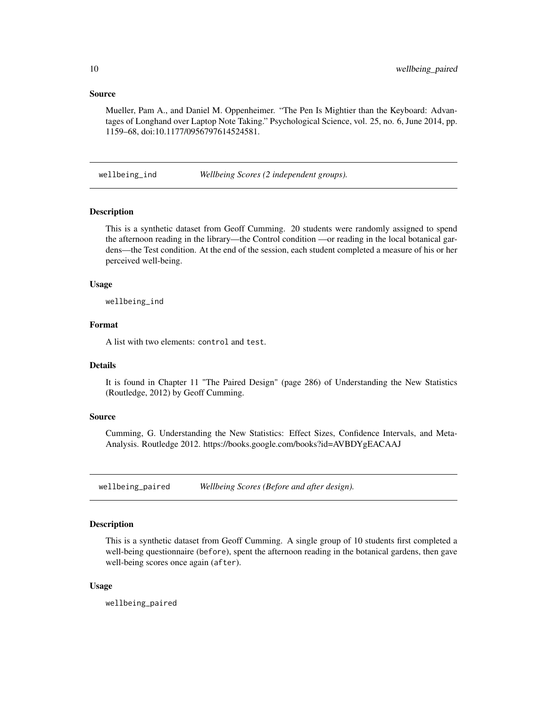#### <span id="page-9-0"></span>Source

Mueller, Pam A., and Daniel M. Oppenheimer. "The Pen Is Mightier than the Keyboard: Advantages of Longhand over Laptop Note Taking." Psychological Science, vol. 25, no. 6, June 2014, pp. 1159–68, doi:10.1177/0956797614524581.

wellbeing\_ind *Wellbeing Scores (2 independent groups).*

#### **Description**

This is a synthetic dataset from Geoff Cumming. 20 students were randomly assigned to spend the afternoon reading in the library—the Control condition —or reading in the local botanical gardens—the Test condition. At the end of the session, each student completed a measure of his or her perceived well-being.

#### Usage

wellbeing\_ind

#### Format

A list with two elements: control and test.

#### Details

It is found in Chapter 11 "The Paired Design" (page 286) of Understanding the New Statistics (Routledge, 2012) by Geoff Cumming.

#### Source

Cumming, G. Understanding the New Statistics: Effect Sizes, Confidence Intervals, and Meta-Analysis. Routledge 2012. https://books.google.com/books?id=AVBDYgEACAAJ

wellbeing\_paired *Wellbeing Scores (Before and after design).*

#### Description

This is a synthetic dataset from Geoff Cumming. A single group of 10 students first completed a well-being questionnaire (before), spent the afternoon reading in the botanical gardens, then gave well-being scores once again (after).

#### Usage

wellbeing\_paired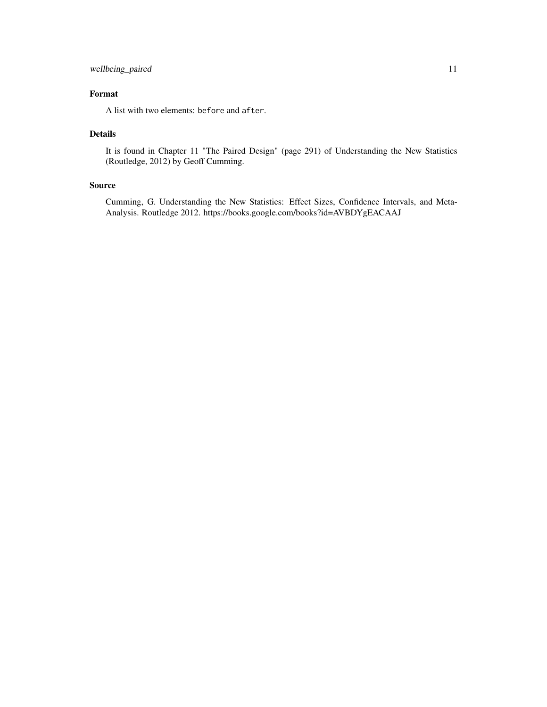#### wellbeing\_paired 11

## Format

A list with two elements: before and after.

#### Details

It is found in Chapter 11 "The Paired Design" (page 291) of Understanding the New Statistics (Routledge, 2012) by Geoff Cumming.

#### Source

Cumming, G. Understanding the New Statistics: Effect Sizes, Confidence Intervals, and Meta-Analysis. Routledge 2012. https://books.google.com/books?id=AVBDYgEACAAJ